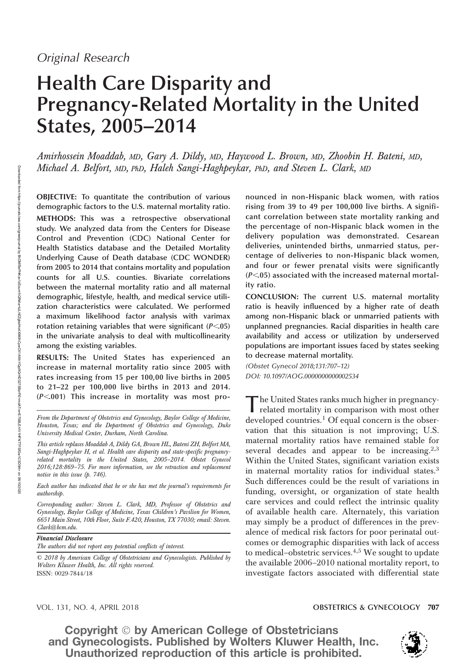# Health Care Disparity and Pregnancy-Related Mortality in the United States, 2005–2014

Amirhossein Moaddab, MD, Gary A. Dildy, MD, Haywood L. Brown, MD, Zhoobin H. Bateni, MD, Michael A. Belfort, MD, PhD, Haleh Sangi-Haghpeykar, PhD, and Steven L. Clark, MD

OBJECTIVE: To quantitate the contribution of various demographic factors to the U.S. maternal mortality ratio.

METHODS: This was a retrospective observational study. We analyzed data from the Centers for Disease Control and Prevention (CDC) National Center for Health Statistics database and the Detailed Mortality Underlying Cause of Death database (CDC WONDER) from 2005 to 2014 that contains mortality and population counts for all U.S. counties. Bivariate correlations between the maternal mortality ratio and all maternal demographic, lifestyle, health, and medical service utilization characteristics were calculated. We performed a maximum likelihood factor analysis with varimax rotation retaining variables that were significant  $(P<.05)$ in the univariate analysis to deal with multicollinearity among the existing variables.

RESULTS: The United States has experienced an increase in maternal mortality ratio since 2005 with rates increasing from 15 per 100,00 live births in 2005 to 21–22 per 100,000 live births in 2013 and 2014.  $(P<.001)$  This increase in mortality was most pro-

Each author has indicated that he or she has met the journal's requirements for authorship.

Corresponding author: Steven L. Clark, MD, Professor of Obstetrics and Gynecology, Baylor College of Medicine, Texas Children's Pavilion for Women, 6651 Main Street, 10th Floor, Suite F.420, Houston, TX 77030; email: Steven. Clark@bcm.edu.

Financial Disclosure

The authors did not report any potential conflicts of interest.

© 2018 by American College of Obstetricians and Gynecologists. Published by Wolters Kluwer Health, Inc. All rights reserved. ISSN: 0029-7844/18

nounced in non-Hispanic black women, with ratios rising from 39 to 49 per 100,000 live births. A significant correlation between state mortality ranking and the percentage of non-Hispanic black women in the delivery population was demonstrated. Cesarean deliveries, unintended births, unmarried status, percentage of deliveries to non-Hispanic black women, and four or fewer prenatal visits were significantly  $(P<.05)$  associated with the increased maternal mortality ratio.

CONCLUSION: The current U.S. maternal mortality ratio is heavily influenced by a higher rate of death among non-Hispanic black or unmarried patients with unplanned pregnancies. Racial disparities in health care availability and access or utilization by underserved populations are important issues faced by states seeking to decrease maternal mortality.

*(Obstet Gynecol 2018;131:707–12) DOI: 10.1097/AOG.0000000000002534*

T he United States ranks much higher in pregnancyrelated mortality in comparison with most other developed countries.<sup>1</sup> Of equal concern is the observation that this situation is not improving; U.S. maternal mortality ratios have remained stable for several decades and appear to be increasing.<sup>2,3</sup> Within the United States, significant variation exists in maternal mortality ratios for individual states.<sup>3</sup> Such differences could be the result of variations in funding, oversight, or organization of state health care services and could reflect the intrinsic quality of available health care. Alternately, this variation may simply be a product of differences in the prevalence of medical risk factors for poor perinatal outcomes or demographic disparities with lack of access to medical-obstetric services.<sup>4,5</sup> We sought to update the available 2006–2010 national mortality report, to investigate factors associated with differential state

### VOL. 131, NO. 4, APRIL 2018 **OBSTETRICS & GYNECOLOGY 707**



From the Department of Obstetrics and Gynecology, Baylor College of Medicine, Houston, Texas; and the Department of Obstetrics and Gynecology, Duke University Medical Center, Durham, North Carolina.

This article replaces Moaddab A, Dildy GA, Brown HL, Bateni ZH, Belfort MA, Sangi-Haghpeykar H, et al. Health care disparity and state-specific pregnancyrelated mortality in the United States, 2005–2014. Obstet Gynecol 2016;128:869–75. For more information, see the retraction and replacement notice in this issue (p. 746).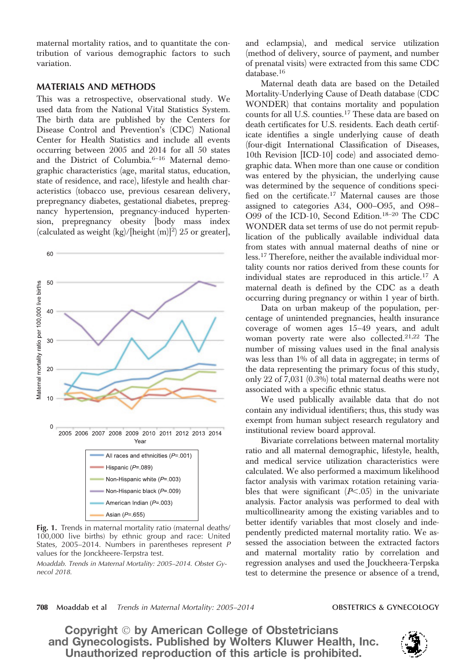maternal mortality ratios, and to quantitate the contribution of various demographic factors to such variation.

## MATERIALS AND METHODS

This was a retrospective, observational study. We used data from the National Vital Statistics System. The birth data are published by the Centers for Disease Control and Prevention's (CDC) National Center for Health Statistics and include all events occurring between 2005 and 2014 for all 50 states and the District of Columbia.6–<sup>16</sup> Maternal demographic characteristics (age, marital status, education, state of residence, and race), lifestyle and health characteristics (tobacco use, previous cesarean delivery, prepregnancy diabetes, gestational diabetes, prepregnancy hypertension, pregnancy-induced hypertension, prepregnancy obesity [body mass index (calculated as weight  $(kg)/[height (m)]^2$ ) 25 or greater],



Fig. 1. Trends in maternal mortality ratio (maternal deaths/ 100,000 live births) by ethnic group and race: United States, 2005–2014. Numbers in parentheses represent *P* values for the Jonckheere-Terpstra test.

*Moaddab. Trends in Maternal Mortality: 2005–2014. Obstet Gynecol 2018.*

and eclampsia), and medical service utilization (method of delivery, source of payment, and number of prenatal visits) were extracted from this same CDC database.<sup>16</sup>

Maternal death data are based on the Detailed Mortality-Underlying Cause of Death database (CDC WONDER) that contains mortality and population counts for all U.S. counties.<sup>17</sup> These data are based on death certificates for U.S. residents. Each death certificate identifies a single underlying cause of death (four-digit International Classification of Diseases, 10th Revision [ICD-10] code) and associated demographic data. When more than one cause or condition was entered by the physician, the underlying cause was determined by the sequence of conditions specified on the certificate.<sup>17</sup> Maternal causes are those assigned to categories A34, O00–O95, and O98– O99 of the ICD-10, Second Edition.18–<sup>20</sup> The CDC WONDER data set terms of use do not permit republication of the publically available individual data from states with annual maternal deaths of nine or less.<sup>17</sup> Therefore, neither the available individual mortality counts nor ratios derived from these counts for individual states are reproduced in this article.<sup>17</sup> A maternal death is defined by the CDC as a death occurring during pregnancy or within 1 year of birth.

Data on urban makeup of the population, percentage of unintended pregnancies, health insurance coverage of women ages 15–49 years, and adult woman poverty rate were also collected.<sup>21,22</sup> The number of missing values used in the final analysis was less than 1% of all data in aggregate; in terms of the data representing the primary focus of this study, only 22 of 7,031 (0.3%) total maternal deaths were not associated with a specific ethnic status.

We used publically available data that do not contain any individual identifiers; thus, this study was exempt from human subject research regulatory and institutional review board approval.

Bivariate correlations between maternal mortality ratio and all maternal demographic, lifestyle, health, and medical service utilization characteristics were calculated. We also performed a maximum likelihood factor analysis with varimax rotation retaining variables that were significant  $(P<.05)$  in the univariate analysis. Factor analysis was performed to deal with multicollinearity among the existing variables and to better identify variables that most closely and independently predicted maternal mortality ratio. We assessed the association between the extracted factors and maternal mortality ratio by correlation and regression analyses and used the Jouckheera-Terpska test to determine the presence or absence of a trend,

### 708 Moaddab et al *Trends in Maternal Mortality: 2005–2014* OBSTETRICS & GYNECOLOGY

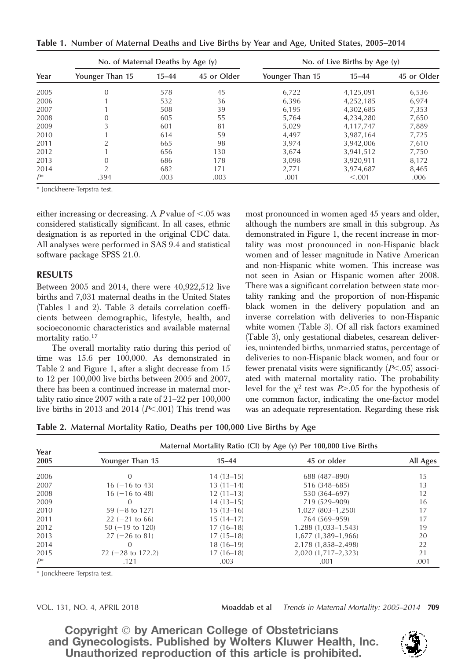Table 1. Number of Maternal Deaths and Live Births by Year and Age, United States, 2005–2014

| Year  | No. of Maternal Deaths by Age $(y)$ |           |             | No. of Live Births by Age $(y)$ |           |             |
|-------|-------------------------------------|-----------|-------------|---------------------------------|-----------|-------------|
|       | Younger Than 15                     | $15 - 44$ | 45 or Older | Younger Than 15                 | $15 - 44$ | 45 or Older |
| 2005  | $\Omega$                            | 578       | 45          | 6,722                           | 4,125,091 | 6,536       |
| 2006  |                                     | 532       | 36          | 6,396                           | 4,252,185 | 6,974       |
| 2007  |                                     | 508       | 39          | 6.195                           | 4,302,685 | 7,353       |
| 2008  | 0                                   | 605       | 55          | 5,764                           | 4,234,280 | 7,650       |
| 2009  |                                     | 601       | 81          | 5.029                           | 4,117,747 | 7,889       |
| 2010  |                                     | 614       | 59          | 4,497                           | 3,987,164 | 7,725       |
| 2011  |                                     | 665       | 98          | 3.974                           | 3,942,006 | 7,610       |
| 2012  |                                     | 656       | 130         | 3.674                           | 3,941,512 | 7,750       |
| 2013  | 0                                   | 686       | 178         | 3.098                           | 3,920,911 | 8,172       |
| 2014  |                                     | 682       | 171         | 2,771                           | 3,974,687 | 8,465       |
| $P^*$ | .394                                | .003      | .003        | .001                            | < 0.001   | .006        |

\* Jonckheere-Terpstra test.

either increasing or decreasing. A P value of  $< .05$  was considered statistically significant. In all cases, ethnic designation is as reported in the original CDC data. All analyses were performed in SAS 9.4 and statistical software package SPSS 21.0.

# RESULTS

Between 2005 and 2014, there were 40,922,512 live births and 7,031 maternal deaths in the United States (Tables 1 and 2). Table 3 details correlation coefficients between demographic, lifestyle, health, and socioeconomic characteristics and available maternal mortality ratio.<sup>17</sup>

The overall mortality ratio during this period of time was 15.6 per 100,000. As demonstrated in Table 2 and Figure 1, after a slight decrease from 15 to 12 per 100,000 live births between 2005 and 2007, there has been a continued increase in maternal mortality ratio since 2007 with a rate of 21–22 per 100,000 live births in 2013 and 2014 ( $P<.001$ ) This trend was

most pronounced in women aged 45 years and older, although the numbers are small in this subgroup. As demonstrated in Figure 1, the recent increase in mortality was most pronounced in non-Hispanic black women and of lesser magnitude in Native American and non-Hispanic white women. This increase was not seen in Asian or Hispanic women after 2008. There was a significant correlation between state mortality ranking and the proportion of non-Hispanic black women in the delivery population and an inverse correlation with deliveries to non-Hispanic white women (Table 3). Of all risk factors examined (Table 3), only gestational diabetes, cesarean deliveries, unintended births, unmarried status, percentage of deliveries to non-Hispanic black women, and four or fewer prenatal visits were significantly  $(P<.05)$  associated with maternal mortality ratio. The probability level for the  $\chi^2$  test was P>.05 for the hypothesis of one common factor, indicating the one-factor model was an adequate representation. Regarding these risk

Table 2. Maternal Mortality Ratio, Deaths per 100,000 Live Births by Age

| Year  | Maternal Mortality Ratio (CI) by Age (y) Per 100,000 Live Births |             |                     |          |  |  |
|-------|------------------------------------------------------------------|-------------|---------------------|----------|--|--|
| 2005  | Younger Than 15                                                  | $15 - 44$   | 45 or older         | All Ages |  |  |
| 2006  |                                                                  | $14(13-15)$ | 688 (487-890)       | 15       |  |  |
| 2007  | $16(-16 \text{ to } 43)$                                         | $13(11-14)$ | 516 (348-685)       | 13       |  |  |
| 2008  | $16(-16 \text{ to } 48)$                                         | $12(11-13)$ | 530 (364–697)       | 12       |  |  |
| 2009  | 0                                                                | $14(13-15)$ | 719 (529-909)       | 16       |  |  |
| 2010  | $59(-8 \text{ to } 127)$                                         | $15(13-16)$ | 1,027 (803-1,250)   | 17       |  |  |
| 2011  | $22 (-21)$ to 66)                                                | $15(14-17)$ | 764 (569-959)       | 17       |  |  |
| 2012  | $50 (-19 \text{ to } 120)$                                       | $17(16-18)$ | 1,288 (1,033–1,543) | 19       |  |  |
| 2013  | $27 (-26 to 81)$                                                 | $17(15-18)$ | 1,677 (1,389-1,966) | 20       |  |  |
| 2014  | $\left( \right)$                                                 | $18(16-19)$ | 2,178 (1,858-2,498) | 22       |  |  |
| 2015  | 72 $(-28 \text{ to } 172.2)$                                     | $17(16-18)$ | 2,020 (1,717-2,323) | 21       |  |  |
| $P^*$ | .121                                                             | .003        | .001                | .001     |  |  |

\* Jonckheere-Terpstra test.

VOL. 131, NO. 4, APRIL 2018 Moaddab et al *Trends in Maternal Mortality: 2005–2014* 709

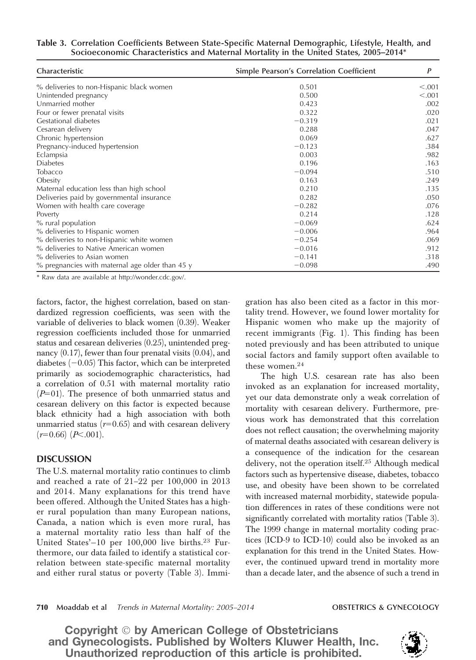| Table 3. Correlation Coefficients Between State-Specific Maternal Demographic, Lifestyle, Health, and |  |
|-------------------------------------------------------------------------------------------------------|--|
| Socioeconomic Characteristics and Maternal Mortality in the United States, 2005–2014*                 |  |

| Characteristic                                     | <b>Simple Pearson's Correlation Coefficient</b> | $\boldsymbol{P}$ |  |
|----------------------------------------------------|-------------------------------------------------|------------------|--|
| % deliveries to non-Hispanic black women           | 0.501                                           | < .001           |  |
| Unintended pregnancy                               | 0.500                                           | < .001           |  |
| Unmarried mother                                   | 0.423                                           | .002             |  |
| Four or fewer prenatal visits                      | 0.322                                           | .020             |  |
| Gestational diabetes                               | $-0.319$                                        | .021             |  |
| Cesarean delivery                                  | 0.288                                           | .047             |  |
| Chronic hypertension                               | 0.069                                           | .627             |  |
| Pregnancy-induced hypertension                     | $-0.123$                                        | .384             |  |
| Eclampsia                                          | 0.003                                           | .982             |  |
| <b>Diabetes</b>                                    | 0.196                                           | .163             |  |
| <b>Tobacco</b>                                     | $-0.094$                                        | .510             |  |
| Obesity                                            | 0.163                                           | .249             |  |
| Maternal education less than high school           | 0.210                                           | .135             |  |
| Deliveries paid by governmental insurance          | 0.282                                           | .050             |  |
| Women with health care coverage                    | $-0.282$                                        | .076             |  |
| Poverty                                            | 0.214                                           | .128             |  |
| % rural population                                 | $-0.069$                                        | .624             |  |
| % deliveries to Hispanic women                     | $-0.006$                                        | .964             |  |
| % deliveries to non-Hispanic white women           | $-0.254$                                        | .069             |  |
| % deliveries to Native American women              | $-0.016$                                        | .912             |  |
| % deliveries to Asian women                        | $-0.141$                                        | .318             |  |
| $\%$ pregnancies with maternal age older than 45 y | $-0.098$                                        | .490             |  |

\* Raw data are available at http://wonder.cdc.gov/.

factors, factor, the highest correlation, based on standardized regression coefficients, was seen with the variable of deliveries to black women (0.39). Weaker regression coefficients included those for unmarried status and cesarean deliveries (0.25), unintended pregnancy (0.17), fewer than four prenatal visits (0.04), and diabetes  $(-0.05)$  This factor, which can be interpreted primarily as sociodemographic characteristics, had a correlation of 0.51 with maternal mortality ratio  $(P=01)$ . The presence of both unmarried status and cesarean delivery on this factor is expected because black ethnicity had a high association with both unmarried status ( $r=0.65$ ) and with cesarean delivery  $(r=0.66)$   $(P<.001)$ .

# DISCUSSION

The U.S. maternal mortality ratio continues to climb and reached a rate of 21–22 per 100,000 in 2013 and 2014. Many explanations for this trend have been offered. Although the United States has a higher rural population than many European nations, Canada, a nation which is even more rural, has a maternal mortality ratio less than half of the United States' $-10$  per 100,000 live births.<sup>23</sup> Furthermore, our data failed to identify a statistical correlation between state-specific maternal mortality and either rural status or poverty (Table 3). Immigration has also been cited as a factor in this mortality trend. However, we found lower mortality for Hispanic women who make up the majority of recent immigrants (Fig. 1). This finding has been noted previously and has been attributed to unique social factors and family support often available to these women. $24$ 

The high U.S. cesarean rate has also been invoked as an explanation for increased mortality, yet our data demonstrate only a weak correlation of mortality with cesarean delivery. Furthermore, previous work has demonstrated that this correlation does not reflect causation; the overwhelming majority of maternal deaths associated with cesarean delivery is a consequence of the indication for the cesarean delivery, not the operation itself.<sup>25</sup> Although medical factors such as hypertensive disease, diabetes, tobacco use, and obesity have been shown to be correlated with increased maternal morbidity, statewide population differences in rates of these conditions were not significantly correlated with mortality ratios (Table 3). The 1999 change in maternal mortality coding practices (ICD-9 to ICD-10) could also be invoked as an explanation for this trend in the United States. However, the continued upward trend in mortality more than a decade later, and the absence of such a trend in

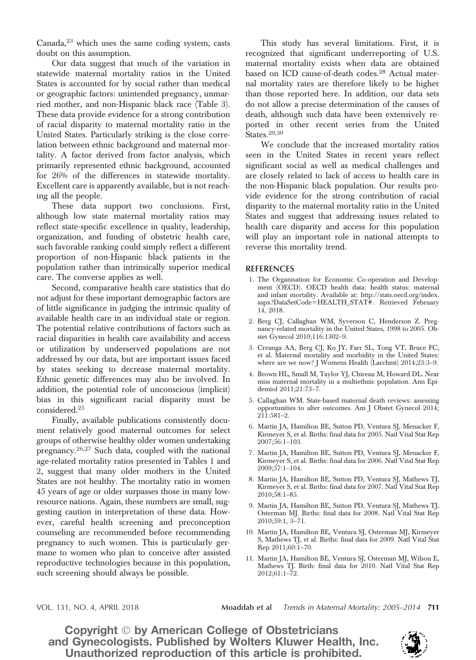Canada,<sup>23</sup> which uses the same coding system, casts doubt on this assumption.

Our data suggest that much of the variation in statewide maternal mortality ratios in the United States is accounted for by social rather than medical or geographic factors: unintended pregnancy, unmarried mother, and non-Hispanic black race (Table 3). These data provide evidence for a strong contribution of racial disparity to maternal mortality ratio in the United States. Particularly striking is the close correlation between ethnic background and maternal mortality. A factor derived from factor analysis, which primarily represented ethnic background, accounted for 26% of the differences in statewide mortality. Excellent care is apparently available, but is not reaching all the people.

These data support two conclusions. First, although low state maternal mortality ratios may reflect state-specific excellence in quality, leadership, organization, and funding of obstetric health care, such favorable ranking could simply reflect a different proportion of non-Hispanic black patients in the population rather than intrinsically superior medical care. The converse applies as well.

Second, comparative health care statistics that do not adjust for these important demographic factors are of little significance in judging the intrinsic quality of available health care in an individual state or region. The potential relative contributions of factors such as racial disparities in health care availability and access or utilization by underserved populations are not addressed by our data, but are important issues faced by states seeking to decrease maternal mortality. Ethnic genetic differences may also be involved. In addition, the potential role of unconscious (implicit) bias in this significant racial disparity must be considered.<sup>25</sup>

Finally, available publications consistently document relatively good maternal outcomes for select groups of otherwise healthy older women undertaking pregnancy.26,27 Such data, coupled with the national age-related mortality ratios presented in Tables 1 and 2, suggest that many older mothers in the United States are not healthy. The mortality ratio in women 45 years of age or older surpasses those in many lowresource nations. Again, these numbers are small, suggesting caution in interpretation of these data. However, careful health screening and preconception counseling are recommended before recommending pregnancy to such women. This is particularly germane to women who plan to conceive after assisted reproductive technologies because in this population, such screening should always be possible.

This study has several limitations. First, it is recognized that significant underreporting of U.S. maternal mortality exists when data are obtained based on ICD cause-of-death codes.<sup>28</sup> Actual maternal mortality rates are therefore likely to be higher than those reported here. In addition, our data sets do not allow a precise determination of the causes of death, although such data have been extensively reported in other recent series from the United States.29,30

We conclude that the increased mortality ratios seen in the United States in recent years reflect significant social as well as medical challenges and are closely related to lack of access to health care in the non-Hispanic black population. Our results provide evidence for the strong contribution of racial disparity to the maternal mortality ratio in the United States and suggest that addressing issues related to health care disparity and access for this population will play an important role in national attempts to reverse this mortality trend.

### REFERENCES

- 1. The Organisation for Economic Co-operation and Development (OECD). OECD health data: health status: maternal and infant mortality. Available at: http://stats.oecd.org/index. aspx?DataSetCode=HEALTH\_STAT#. Retrieved February 14, 2018.
- 2. Berg CJ, Callaghan WM, Syverson C, Henderson Z. Pregnancy-related mortality in the United States, 1998 to 2005. Obstet Gynecol 2010;116:1302–9.
- 3. Creanga AA, Berg CJ, Ko JY, Farr SL, Tong VT, Bruce FC, et al. Maternal mortality and morbidity in the United States: where are we now? J Womens Health (Larchmt) 2014;23:3–9.
- 4. Brown HL, Small M, Taylor YJ, Chireau M, Howard DL. Near miss maternal mortality in a multiethnic population. Ann Epidemiol 2011;21:73–7.
- 5. Callaghan WM. State-based maternal death reviews: assessing opportunities to alter outcomes. Am J Obstet Gynecol 2014; 211:581–2.
- 6. Martin JA, Hamilton BE, Sutton PD, Ventura SJ, Menacker F, Kirmeyer S, et al. Births: final data for 2005. Natl Vital Stat Rep 2007;56:1–103.
- 7. Martin JA, Hamilton BE, Sutton PD, Ventura SJ, Menacker F, Kirmeyer S, et al. Births: final data for 2006. Natl Vital Stat Rep 2009;57:1–104.
- 8. Martin JA, Hamilton BE, Sutton PD, Ventura SJ, Mathews TJ, Kirmeyer S, et al. Births: final data for 2007. Natl Vital Stat Rep 2010;58:1–85.
- 9. Martin JA, Hamilton BE, Sutton PD, Ventura SJ, Mathews TJ, Osterman MJ. Births: final data for 2008. Natl Vital Stat Rep 2010;59:1, 3–71.
- 10. Martin JA, Hamilton BE, Ventura SJ, Osterman MJ, Kirmeyer S, Mathews TJ, et al. Births: final data for 2009. Natl Vital Stat Rep 2011;60:1–70.
- 11. Martin JA, Hamilton BE, Ventura SJ, Osterman MJ, Wilson E, Mathews TJ. Birth: final data for 2010. Natl Vital Stat Rep 2012;61:1–72.

VOL. 131, NO. 4, APRIL 2018 Moaddab et al *Trends in Maternal Mortality: 2005–2014* 711